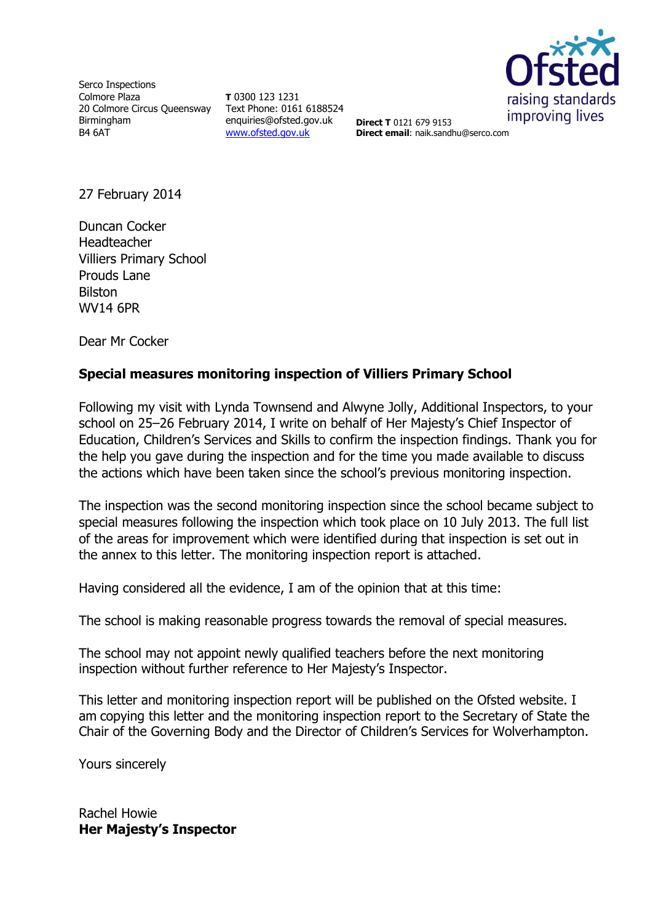

Serco Inspections Colmore Plaza 20 Colmore Circus Queensway Birmingham B4 6AT

**T** 0300 123 1231 Text Phone: 0161 6188524 enquiries@ofsted.gov.uk [www.ofsted.gov.uk](http://www.ofsted.gov.uk/)

**Direct T** 0121 679 9153 **Direct email**: naik.sandhu@serco.com

27 February 2014

Duncan Cocker Headteacher Villiers Primary School Prouds Lane Bilston WV14 6PR

Dear Mr Cocker

# **Special measures monitoring inspection of Villiers Primary School**

Following my visit with Lynda Townsend and Alwyne Jolly, Additional Inspectors, to your school on 25–26 February 2014, I write on behalf of Her Majesty's Chief Inspector of Education, Children's Services and Skills to confirm the inspection findings. Thank you for the help you gave during the inspection and for the time you made available to discuss the actions which have been taken since the school's previous monitoring inspection.

The inspection was the second monitoring inspection since the school became subject to special measures following the inspection which took place on 10 July 2013. The full list of the areas for improvement which were identified during that inspection is set out in the annex to this letter. The monitoring inspection report is attached.

Having considered all the evidence, I am of the opinion that at this time:

The school is making reasonable progress towards the removal of special measures.

The school may not appoint newly qualified teachers before the next monitoring inspection without further reference to Her Majesty's Inspector.

This letter and monitoring inspection report will be published on the Ofsted website. I am copying this letter and the monitoring inspection report to the Secretary of State the Chair of the Governing Body and the Director of Children's Services for Wolverhampton.

Yours sincerely

Rachel Howie **Her Majesty's Inspector**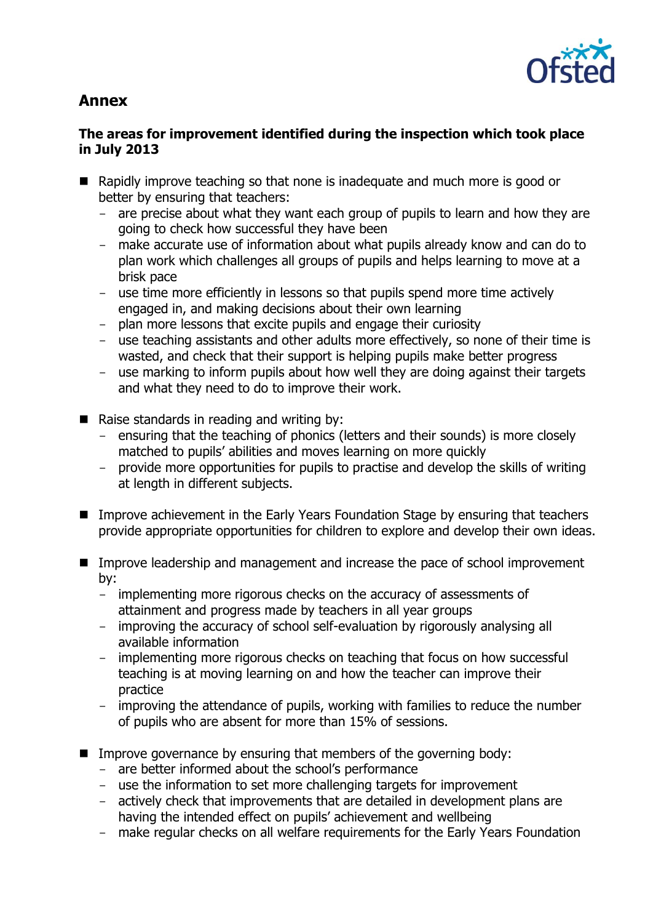

# **Annex**

# **The areas for improvement identified during the inspection which took place in July 2013**

- Rapidly improve teaching so that none is inadequate and much more is good or better by ensuring that teachers:
	- are precise about what they want each group of pupils to learn and how they are going to check how successful they have been
	- make accurate use of information about what pupils already know and can do to plan work which challenges all groups of pupils and helps learning to move at a brisk pace
	- use time more efficiently in lessons so that pupils spend more time actively engaged in, and making decisions about their own learning
	- plan more lessons that excite pupils and engage their curiosity
	- use teaching assistants and other adults more effectively, so none of their time is wasted, and check that their support is helping pupils make better progress
	- use marking to inform pupils about how well they are doing against their targets and what they need to do to improve their work.
- Raise standards in reading and writing by:
	- ensuring that the teaching of phonics (letters and their sounds) is more closely matched to pupils' abilities and moves learning on more quickly
	- provide more opportunities for pupils to practise and develop the skills of writing at length in different subjects.
- Improve achievement in the Early Years Foundation Stage by ensuring that teachers provide appropriate opportunities for children to explore and develop their own ideas.
- Improve leadership and management and increase the pace of school improvement by:
	- implementing more rigorous checks on the accuracy of assessments of attainment and progress made by teachers in all year groups
	- improving the accuracy of school self-evaluation by rigorously analysing all available information
	- implementing more rigorous checks on teaching that focus on how successful teaching is at moving learning on and how the teacher can improve their practice
	- improving the attendance of pupils, working with families to reduce the number of pupils who are absent for more than 15% of sessions.
- $\blacksquare$  Improve governance by ensuring that members of the governing body:
	- are better informed about the school's performance
	- use the information to set more challenging targets for improvement
	- actively check that improvements that are detailed in development plans are having the intended effect on pupils' achievement and wellbeing
	- make regular checks on all welfare requirements for the Early Years Foundation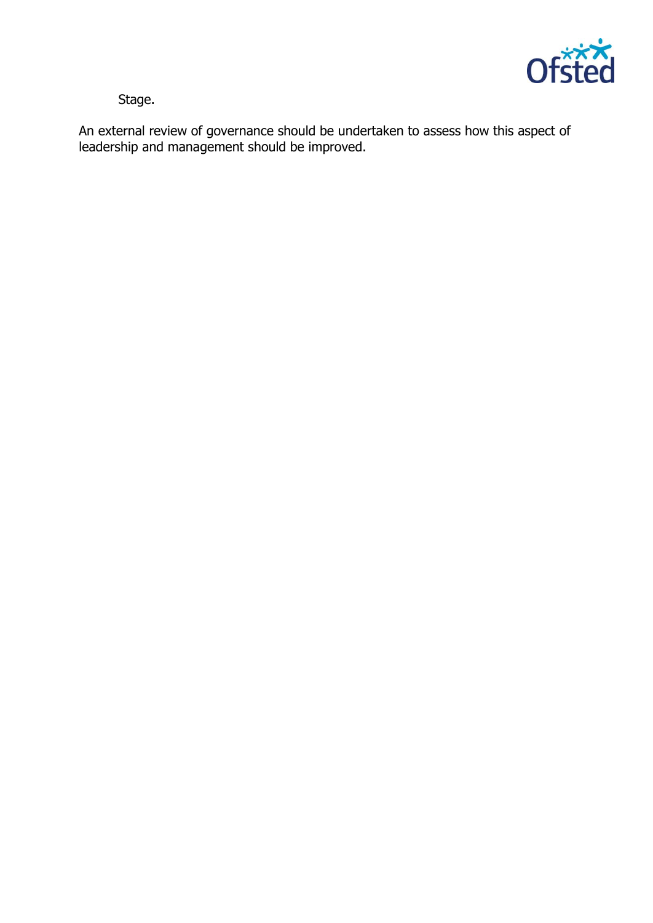

Stage.

An external review of governance should be undertaken to assess how this aspect of leadership and management should be improved.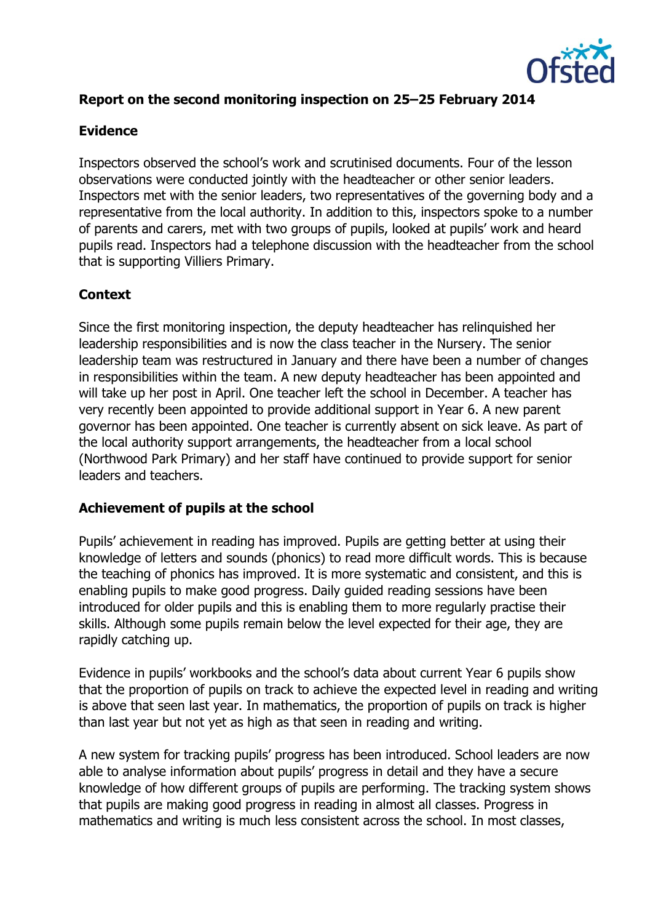

# **Report on the second monitoring inspection on 25–25 February 2014**

#### **Evidence**

Inspectors observed the school's work and scrutinised documents. Four of the lesson observations were conducted jointly with the headteacher or other senior leaders. Inspectors met with the senior leaders, two representatives of the governing body and a representative from the local authority. In addition to this, inspectors spoke to a number of parents and carers, met with two groups of pupils, looked at pupils' work and heard pupils read. Inspectors had a telephone discussion with the headteacher from the school that is supporting Villiers Primary.

#### **Context**

Since the first monitoring inspection, the deputy headteacher has relinquished her leadership responsibilities and is now the class teacher in the Nursery. The senior leadership team was restructured in January and there have been a number of changes in responsibilities within the team. A new deputy headteacher has been appointed and will take up her post in April. One teacher left the school in December. A teacher has very recently been appointed to provide additional support in Year 6. A new parent governor has been appointed. One teacher is currently absent on sick leave. As part of the local authority support arrangements, the headteacher from a local school (Northwood Park Primary) and her staff have continued to provide support for senior leaders and teachers.

#### **Achievement of pupils at the school**

Pupils' achievement in reading has improved. Pupils are getting better at using their knowledge of letters and sounds (phonics) to read more difficult words. This is because the teaching of phonics has improved. It is more systematic and consistent, and this is enabling pupils to make good progress. Daily guided reading sessions have been introduced for older pupils and this is enabling them to more regularly practise their skills. Although some pupils remain below the level expected for their age, they are rapidly catching up.

Evidence in pupils' workbooks and the school's data about current Year 6 pupils show that the proportion of pupils on track to achieve the expected level in reading and writing is above that seen last year. In mathematics, the proportion of pupils on track is higher than last year but not yet as high as that seen in reading and writing.

A new system for tracking pupils' progress has been introduced. School leaders are now able to analyse information about pupils' progress in detail and they have a secure knowledge of how different groups of pupils are performing. The tracking system shows that pupils are making good progress in reading in almost all classes. Progress in mathematics and writing is much less consistent across the school. In most classes,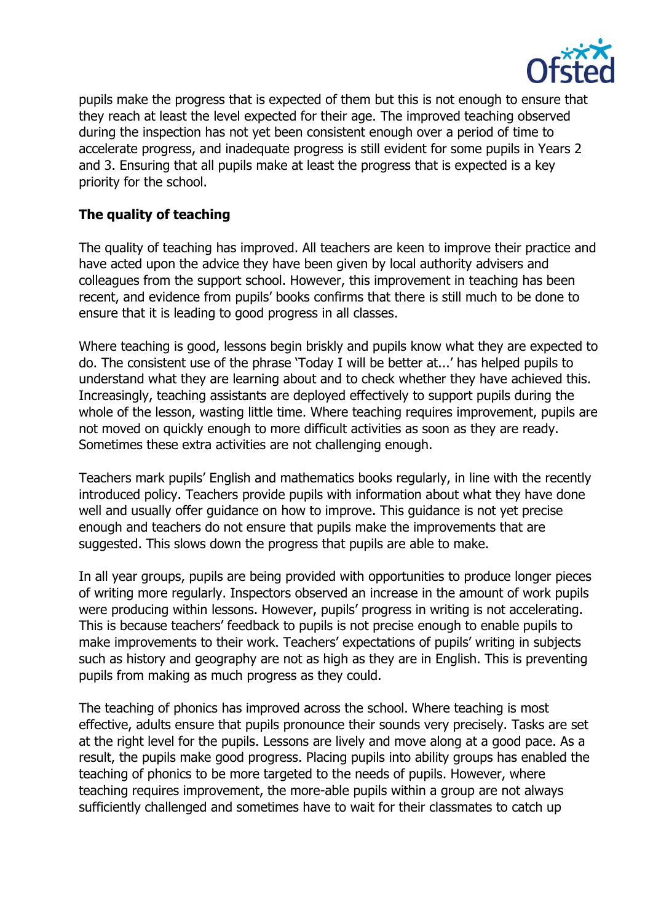

pupils make the progress that is expected of them but this is not enough to ensure that they reach at least the level expected for their age. The improved teaching observed during the inspection has not yet been consistent enough over a period of time to accelerate progress, and inadequate progress is still evident for some pupils in Years 2 and 3. Ensuring that all pupils make at least the progress that is expected is a key priority for the school.

# **The quality of teaching**

The quality of teaching has improved. All teachers are keen to improve their practice and have acted upon the advice they have been given by local authority advisers and colleagues from the support school. However, this improvement in teaching has been recent, and evidence from pupils' books confirms that there is still much to be done to ensure that it is leading to good progress in all classes.

Where teaching is good, lessons begin briskly and pupils know what they are expected to do. The consistent use of the phrase 'Today I will be better at...' has helped pupils to understand what they are learning about and to check whether they have achieved this. Increasingly, teaching assistants are deployed effectively to support pupils during the whole of the lesson, wasting little time. Where teaching requires improvement, pupils are not moved on quickly enough to more difficult activities as soon as they are ready. Sometimes these extra activities are not challenging enough.

Teachers mark pupils' English and mathematics books regularly, in line with the recently introduced policy. Teachers provide pupils with information about what they have done well and usually offer guidance on how to improve. This guidance is not yet precise enough and teachers do not ensure that pupils make the improvements that are suggested. This slows down the progress that pupils are able to make.

In all year groups, pupils are being provided with opportunities to produce longer pieces of writing more regularly. Inspectors observed an increase in the amount of work pupils were producing within lessons. However, pupils' progress in writing is not accelerating. This is because teachers' feedback to pupils is not precise enough to enable pupils to make improvements to their work. Teachers' expectations of pupils' writing in subjects such as history and geography are not as high as they are in English. This is preventing pupils from making as much progress as they could.

The teaching of phonics has improved across the school. Where teaching is most effective, adults ensure that pupils pronounce their sounds very precisely. Tasks are set at the right level for the pupils. Lessons are lively and move along at a good pace. As a result, the pupils make good progress. Placing pupils into ability groups has enabled the teaching of phonics to be more targeted to the needs of pupils. However, where teaching requires improvement, the more-able pupils within a group are not always sufficiently challenged and sometimes have to wait for their classmates to catch up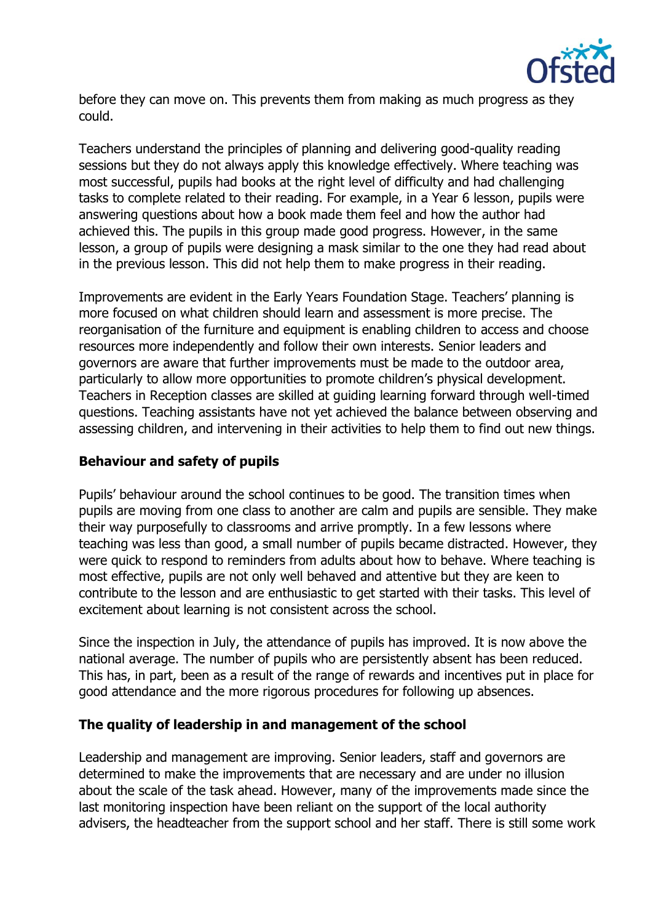

before they can move on. This prevents them from making as much progress as they could.

Teachers understand the principles of planning and delivering good-quality reading sessions but they do not always apply this knowledge effectively. Where teaching was most successful, pupils had books at the right level of difficulty and had challenging tasks to complete related to their reading. For example, in a Year 6 lesson, pupils were answering questions about how a book made them feel and how the author had achieved this. The pupils in this group made good progress. However, in the same lesson, a group of pupils were designing a mask similar to the one they had read about in the previous lesson. This did not help them to make progress in their reading.

Improvements are evident in the Early Years Foundation Stage. Teachers' planning is more focused on what children should learn and assessment is more precise. The reorganisation of the furniture and equipment is enabling children to access and choose resources more independently and follow their own interests. Senior leaders and governors are aware that further improvements must be made to the outdoor area, particularly to allow more opportunities to promote children's physical development. Teachers in Reception classes are skilled at guiding learning forward through well-timed questions. Teaching assistants have not yet achieved the balance between observing and assessing children, and intervening in their activities to help them to find out new things.

# **Behaviour and safety of pupils**

Pupils' behaviour around the school continues to be good. The transition times when pupils are moving from one class to another are calm and pupils are sensible. They make their way purposefully to classrooms and arrive promptly. In a few lessons where teaching was less than good, a small number of pupils became distracted. However, they were quick to respond to reminders from adults about how to behave. Where teaching is most effective, pupils are not only well behaved and attentive but they are keen to contribute to the lesson and are enthusiastic to get started with their tasks. This level of excitement about learning is not consistent across the school.

Since the inspection in July, the attendance of pupils has improved. It is now above the national average. The number of pupils who are persistently absent has been reduced. This has, in part, been as a result of the range of rewards and incentives put in place for good attendance and the more rigorous procedures for following up absences.

#### **The quality of leadership in and management of the school**

Leadership and management are improving. Senior leaders, staff and governors are determined to make the improvements that are necessary and are under no illusion about the scale of the task ahead. However, many of the improvements made since the last monitoring inspection have been reliant on the support of the local authority advisers, the headteacher from the support school and her staff. There is still some work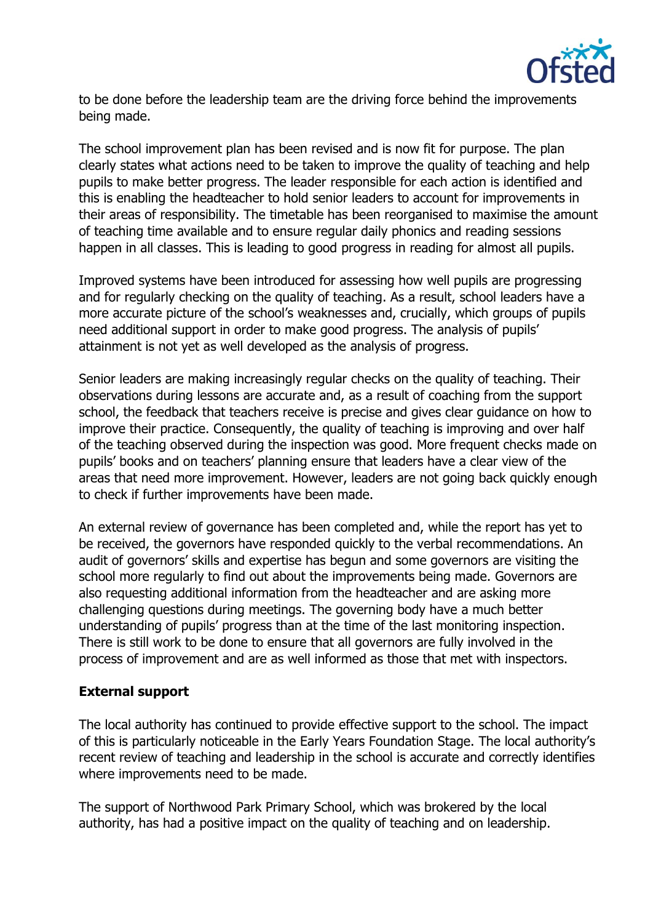

to be done before the leadership team are the driving force behind the improvements being made.

The school improvement plan has been revised and is now fit for purpose. The plan clearly states what actions need to be taken to improve the quality of teaching and help pupils to make better progress. The leader responsible for each action is identified and this is enabling the headteacher to hold senior leaders to account for improvements in their areas of responsibility. The timetable has been reorganised to maximise the amount of teaching time available and to ensure regular daily phonics and reading sessions happen in all classes. This is leading to good progress in reading for almost all pupils.

Improved systems have been introduced for assessing how well pupils are progressing and for regularly checking on the quality of teaching. As a result, school leaders have a more accurate picture of the school's weaknesses and, crucially, which groups of pupils need additional support in order to make good progress. The analysis of pupils' attainment is not yet as well developed as the analysis of progress.

Senior leaders are making increasingly regular checks on the quality of teaching. Their observations during lessons are accurate and, as a result of coaching from the support school, the feedback that teachers receive is precise and gives clear guidance on how to improve their practice. Consequently, the quality of teaching is improving and over half of the teaching observed during the inspection was good. More frequent checks made on pupils' books and on teachers' planning ensure that leaders have a clear view of the areas that need more improvement. However, leaders are not going back quickly enough to check if further improvements have been made.

An external review of governance has been completed and, while the report has yet to be received, the governors have responded quickly to the verbal recommendations. An audit of governors' skills and expertise has begun and some governors are visiting the school more regularly to find out about the improvements being made. Governors are also requesting additional information from the headteacher and are asking more challenging questions during meetings. The governing body have a much better understanding of pupils' progress than at the time of the last monitoring inspection. There is still work to be done to ensure that all governors are fully involved in the process of improvement and are as well informed as those that met with inspectors.

#### **External support**

The local authority has continued to provide effective support to the school. The impact of this is particularly noticeable in the Early Years Foundation Stage. The local authority's recent review of teaching and leadership in the school is accurate and correctly identifies where improvements need to be made.

The support of Northwood Park Primary School, which was brokered by the local authority, has had a positive impact on the quality of teaching and on leadership.